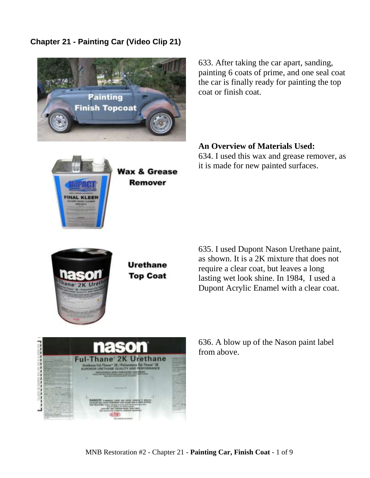## **Chapter 21 - Painting Car (Video Clip 21)**



633. After taking the car apart, sanding, painting 6 coats of prime, and one seal coat the car is finally ready for painting the top coat or finish coat.

## **An Overview of Materials Used:**

634. I used this wax and grease remover, as it is made for new painted surfaces.



**INAL KLEEN** 

**Urethane Top Coat** 

Wax & Grease **Remover** 

> 635. I used Dupont Nason Urethane paint, as shown. It is a 2K mixture that does not require a clear coat, but leaves a long lasting wet look shine. In 1984, I used a Dupont Acrylic Enamel with a clear coat.



636. A blow up of the Nason paint label from above.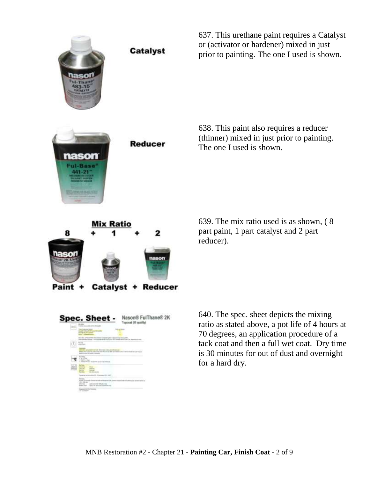

637. This urethane paint requires a Catalyst or (activator or hardener) mixed in just prior to painting. The one I used is shown.

638. This paint also requires a reducer (thinner) mixed in just prior to painting. The one I used is shown.

639. The mix ratio used is as shown, ( 8 part paint, 1 part catalyst and 2 part reducer).

640. The spec. sheet depicts the mixing ratio as stated above, a pot life of 4 hours at 70 degrees, an application procedure of a tack coat and then a full wet coat. Dry time is 30 minutes for out of dust and overnight for a hard dry.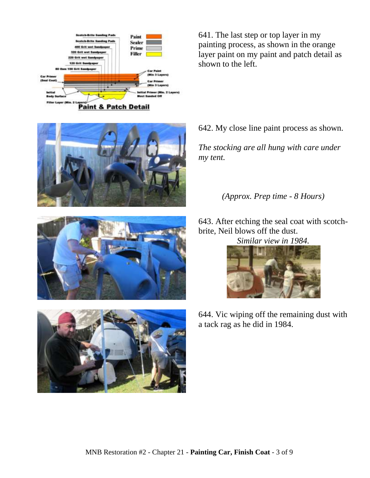

641. The last step or top layer in my painting process, as shown in the orange layer paint on my paint and patch detail as shown to the left.







642. My close line paint process as shown.

*The stocking are all hung with care under my tent.*

## *(Approx. Prep time - 8 Hours)*

643. After etching the seal coat with scotchbrite, Neil blows off the dust.

*Similar view in 1984.*



644. Vic wiping off the remaining dust with a tack rag as he did in 1984.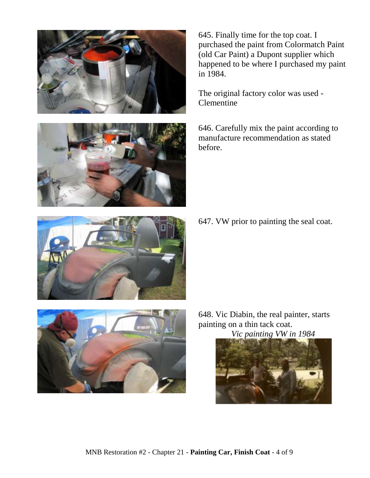



645. Finally time for the top coat. I purchased the paint from Colormatch Paint (old Car Paint) a Dupont supplier which happened to be where I purchased my paint in 1984.

The original factory color was used - Clementine

646. Carefully mix the paint according to manufacture recommendation as stated before.

647. VW prior to painting the seal coat.





648. Vic Diabin, the real painter, starts painting on a thin tack coat.

*Vic painting VW in 1984*

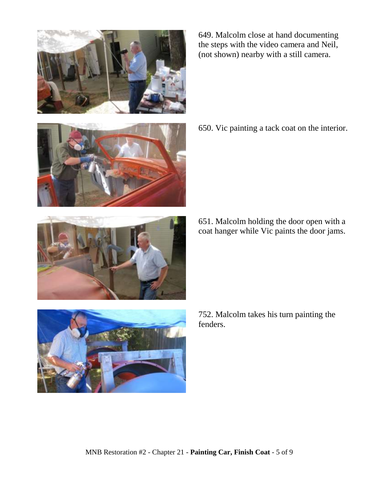

649. Malcolm close at hand documenting the steps with the video camera and Neil, (not shown) nearby with a still camera.

650. Vic painting a tack coat on the interior.

- 
- 651. Malcolm holding the door open with a coat hanger while Vic paints the door jams.

752. Malcolm takes his turn painting the fenders.

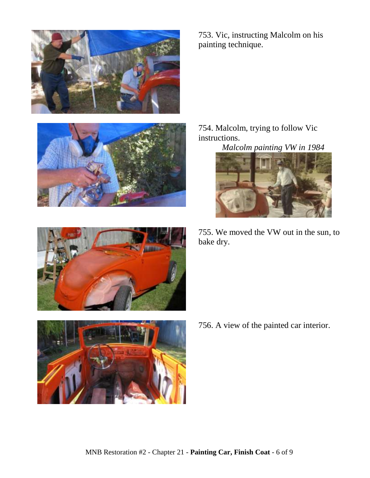







753. Vic, instructing Malcolm on his painting technique.

754. Malcolm, trying to follow Vic instructions.

*Malcolm painting VW in 1984*



755. We moved the VW out in the sun, to bake dry.

756. A view of the painted car interior.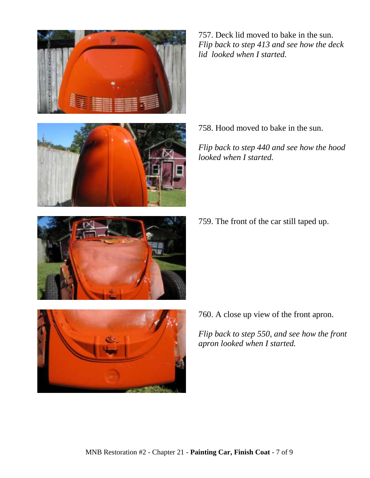





758. Hood moved to bake in the sun.

*Flip back to step 440 and see how the hood looked when I started.*

759. The front of the car still taped up.



760. A close up view of the front apron.

*Flip back to step 550, and see how the front apron looked when I started.*

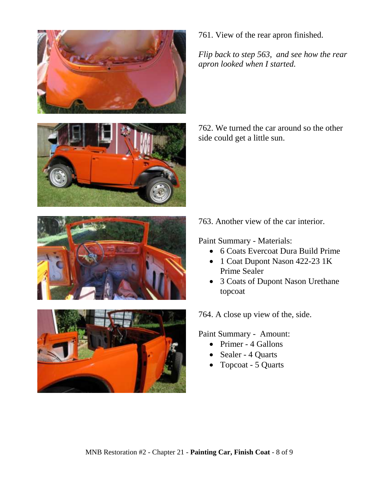







761. View of the rear apron finished.

*Flip back to step 563, and see how the rear apron looked when I started.*

762. We turned the car around so the other side could get a little sun.

763. Another view of the car interior.

Paint Summary - Materials:

- 6 Coats Evercoat Dura Build Prime
- 1 Coat Dupont Nason 422-23 1K Prime Sealer
- 3 Coats of Dupont Nason Urethane topcoat

764. A close up view of the, side.

Paint Summary - Amount:

- Primer 4 Gallons
- Sealer 4 Quarts
- Topcoat 5 Quarts